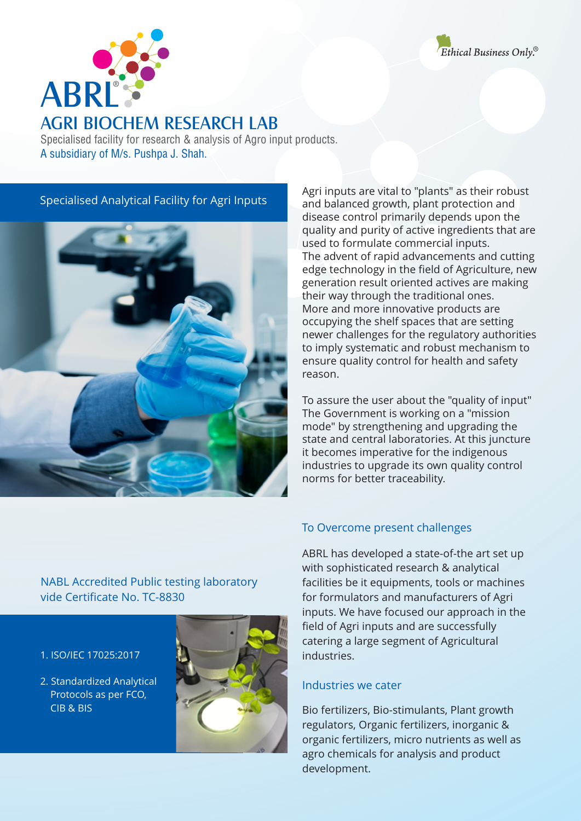



## AGRI BIOCHEM RESEARCH LAB

Specialised facility for research & analysis of Agro input products. A subsidiary of M/s. Pushpa J. Shah.

#### Specialised Analytical Facility for Agri Inputs



More and more innovative products are occupying the shelf spaces that are setting newer challenges for the regulatory authorities to imply systematic and robust mechanism to ensure quality control for health and safety reason. The advent of rapid advancements and cutting edge technology in the field of Agriculture, new generation result oriented actives are making their way through the traditional ones. Agri inputs are vital to "plants" as their robust and balanced growth, plant protection and disease control primarily depends upon the quality and purity of active ingredients that are used to formulate commercial inputs.

To assure the user about the "quality of input" The Government is working on a "mission mode" by strengthening and upgrading the state and central laboratories. At this juncture it becomes imperative for the indigenous industries to upgrade its own quality control norms for better traceability.

## NABL Accredited Public testing laboratory vide Certificate No. TC-8830

## 1.ISO/IEC 17025:2017

2. Standardized Analytical Protocols as per FCO, CIB & BIS



#### To Overcome present challenges

ABRL has developed a state-of-the art set up with sophisticated research & analytical facilities be it equipments, tools or machines for formulators and manufacturers of Agri inputs. We have focused our approach in the field of Agri inputs and are successfully catering a large segment of Agricultural industries.

#### Industries we cater

Bio fertilizers, Bio-stimulants, Plant growth regulators, Organic fertilizers, inorganic & organic fertilizers, micro nutrients as well as agro chemicals for analysis and product development.